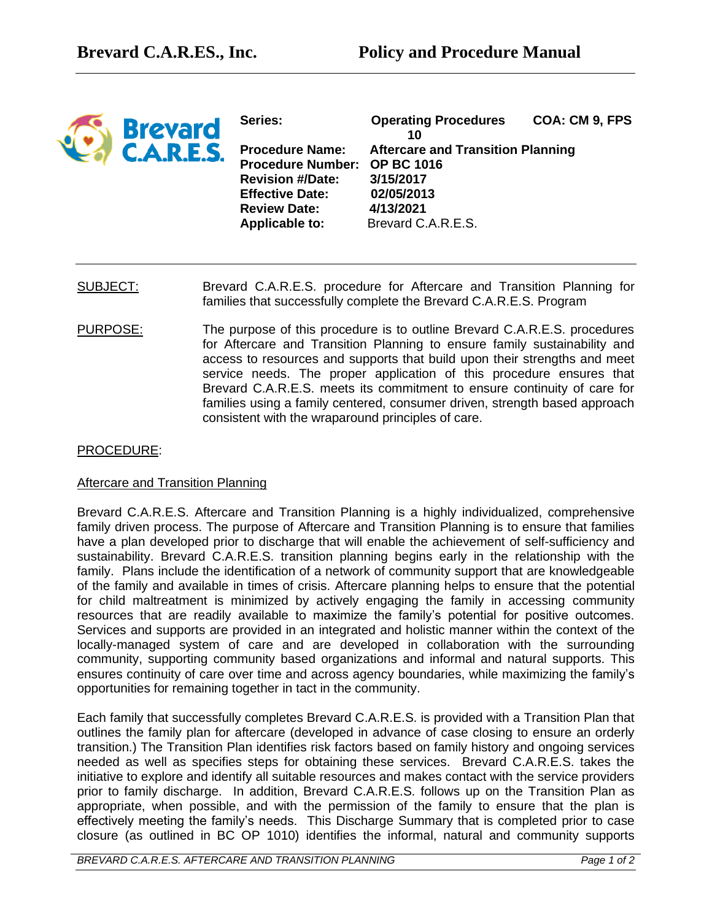

**Series: Operating Procedures COA: CM 9, FPS 10 Procedure Name: Aftercare and Transition Planning Procedure Number: OP BC 1016 Revision #/Date: 3/15/2017 Effective Date: 02/05/2013 Review Date: 4/13/2021 Applicable to:** Brevard C.A.R.E.S.

- SUBJECT: Brevard C.A.R.E.S. procedure for Aftercare and Transition Planning for families that successfully complete the Brevard C.A.R.E.S. Program
- PURPOSE: The purpose of this procedure is to outline Brevard C.A.R.E.S. procedures for Aftercare and Transition Planning to ensure family sustainability and access to resources and supports that build upon their strengths and meet service needs. The proper application of this procedure ensures that Brevard C.A.R.E.S. meets its commitment to ensure continuity of care for families using a family centered, consumer driven, strength based approach consistent with the wraparound principles of care.

## PROCEDURE:

## Aftercare and Transition Planning

Brevard C.A.R.E.S. Aftercare and Transition Planning is a highly individualized, comprehensive family driven process. The purpose of Aftercare and Transition Planning is to ensure that families have a plan developed prior to discharge that will enable the achievement of self-sufficiency and sustainability. Brevard C.A.R.E.S. transition planning begins early in the relationship with the family. Plans include the identification of a network of community support that are knowledgeable of the family and available in times of crisis. Aftercare planning helps to ensure that the potential for child maltreatment is minimized by actively engaging the family in accessing community resources that are readily available to maximize the family's potential for positive outcomes. Services and supports are provided in an integrated and holistic manner within the context of the locally-managed system of care and are developed in collaboration with the surrounding community, supporting community based organizations and informal and natural supports. This ensures continuity of care over time and across agency boundaries, while maximizing the family's opportunities for remaining together in tact in the community.

Each family that successfully completes Brevard C.A.R.E.S. is provided with a Transition Plan that outlines the family plan for aftercare (developed in advance of case closing to ensure an orderly transition.) The Transition Plan identifies risk factors based on family history and ongoing services needed as well as specifies steps for obtaining these services. Brevard C.A.R.E.S. takes the initiative to explore and identify all suitable resources and makes contact with the service providers prior to family discharge. In addition, Brevard C.A.R.E.S. follows up on the Transition Plan as appropriate, when possible, and with the permission of the family to ensure that the plan is effectively meeting the family's needs. This Discharge Summary that is completed prior to case closure (as outlined in BC OP 1010) identifies the informal, natural and community supports